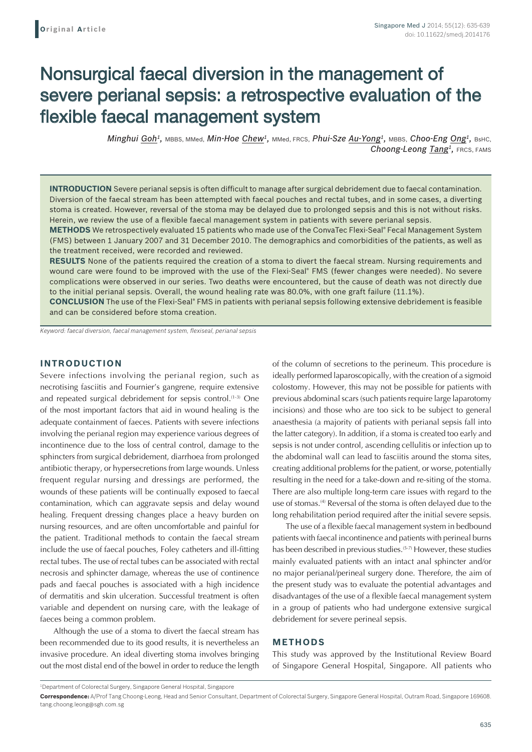# Nonsurgical faecal diversion in the management of severe perianal sepsis: a retrospective evaluation of the flexible faecal management system

*Minghui Goh1,* MBBS, MMed, *Min-Hoe Chew1,* MMed, FRCS, *Phui-Sze Au-Yong1,* MBBS, *Choo-Eng Ong1,* BsHC, *Choong-Leong Tang1,* FRCS, FAMS

**INTRODUCTION** Severe perianal sepsis is often difficult to manage after surgical debridement due to faecal contamination. Diversion of the faecal stream has been attempted with faecal pouches and rectal tubes, and in some cases, a diverting stoma is created. However, reversal of the stoma may be delayed due to prolonged sepsis and this is not without risks. Herein, we review the use of a flexible faecal management system in patients with severe perianal sepsis.

**METHODS** We retrospectively evaluated 15 patients who made use of the ConvaTec Flexi-Seal® Fecal Management System (FMS) between 1 January 2007 and 31 December 2010. The demographics and comorbidities of the patients, as well as the treatment received, were recorded and reviewed.

**RESULTS** None of the patients required the creation of a stoma to divert the faecal stream. Nursing requirements and wound care were found to be improved with the use of the Flexi-Seal® FMS (fewer changes were needed). No severe complications were observed in our series. Two deaths were encountered, but the cause of death was not directly due to the initial perianal sepsis. Overall, the wound healing rate was 80.0%, with one graft failure (11.1%).

**CONCLUSION** The use of the Flexi-Seal<sup>®</sup> FMS in patients with perianal sepsis following extensive debridement is feasible and can be considered before stoma creation.

*Keyword: faecal diversion, faecal management system, flexiseal, perianal sepsis*

#### **INTRODUCTION**

Severe infections involving the perianal region, such as necrotising fasciitis and Fournier's gangrene, require extensive and repeated surgical debridement for sepsis control.<sup>(1-3)</sup> One of the most important factors that aid in wound healing is the adequate containment of faeces. Patients with severe infections involving the perianal region may experience various degrees of incontinence due to the loss of central control, damage to the sphincters from surgical debridement, diarrhoea from prolonged antibiotic therapy, or hypersecretions from large wounds. Unless frequent regular nursing and dressings are performed, the wounds of these patients will be continually exposed to faecal contamination, which can aggravate sepsis and delay wound healing. Frequent dressing changes place a heavy burden on nursing resources, and are often uncomfortable and painful for the patient. Traditional methods to contain the faecal stream include the use of faecal pouches, Foley catheters and ill-fitting rectal tubes. The use of rectal tubes can be associated with rectal necrosis and sphincter damage, whereas the use of continence pads and faecal pouches is associated with a high incidence of dermatitis and skin ulceration. Successful treatment is often variable and dependent on nursing care, with the leakage of faeces being a common problem.

Although the use of a stoma to divert the faecal stream has been recommended due to its good results, it is nevertheless an invasive procedure. An ideal diverting stoma involves bringing out the most distal end of the bowel in order to reduce the length of the column of secretions to the perineum. This procedure is ideally performed laparoscopically, with the creation of a sigmoid colostomy. However, this may not be possible for patients with previous abdominal scars (such patients require large laparotomy incisions) and those who are too sick to be subject to general anaesthesia (a majority of patients with perianal sepsis fall into the latter category). In addition, if a stoma is created too early and sepsis is not under control, ascending cellulitis or infection up to the abdominal wall can lead to fasciitis around the stoma sites, creating additional problems for the patient, or worse, potentially resulting in the need for a take-down and re-siting of the stoma. There are also multiple long-term care issues with regard to the use of stomas.<sup>(4)</sup> Reversal of the stoma is often delayed due to the long rehabilitation period required after the initial severe sepsis.

The use of a flexible faecal management system in bedbound patients with faecal incontinence and patients with perineal burns has been described in previous studies.<sup>(5-7)</sup> However, these studies mainly evaluated patients with an intact anal sphincter and/or no major perianal/perineal surgery done. Therefore, the aim of the present study was to evaluate the potential advantages and disadvantages of the use of a flexible faecal management system in a group of patients who had undergone extensive surgical debridement for severe perineal sepsis.

#### **METHODS**

This study was approved by the Institutional Review Board of Singapore General Hospital, Singapore. All patients who

<sup>1</sup> Department of Colorectal Surgery, Singapore General Hospital, Singapore

**Correspondence:** A/Prof Tang Choong-Leong, Head and Senior Consultant, Department of Colorectal Surgery, Singapore General Hospital, Outram Road, Singapore 169608. tang.choong.leong@sgh.com.sg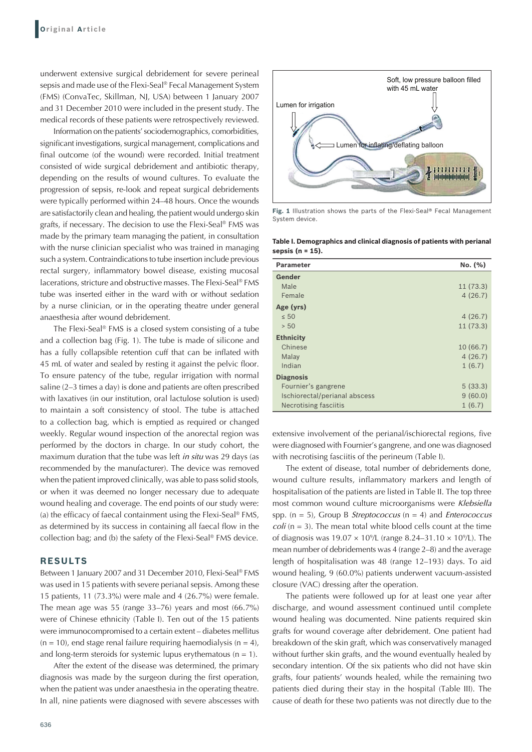underwent extensive surgical debridement for severe perineal sepsis and made use of the Flexi-Seal® Fecal Management System (FMS) (ConvaTec, Skillman, NJ, USA) between 1 January 2007 and 31 December 2010 were included in the present study. The medical records of these patients were retrospectively reviewed.

Information on the patients'sociodemographics, comorbidities, significant investigations, surgical management, complications and final outcome (of the wound) were recorded. Initial treatment consisted of wide surgical debridement and antibiotic therapy, depending on the results of wound cultures. To evaluate the progression of sepsis, re-look and repeat surgical debridements were typically performed within 24–48 hours. Once the wounds are satisfactorily clean and healing, the patient would undergo skin grafts, if necessary. The decision to use the Flexi-Seal® FMS was made by the primary team managing the patient, in consultation with the nurse clinician specialist who was trained in managing such a system. Contraindications to tube insertion include previous rectal surgery, inflammatory bowel disease, existing mucosal lacerations, stricture and obstructive masses. The Flexi-Seal® FMS tube was inserted either in the ward with or without sedation by a nurse clinician, or in the operating theatre under general anaesthesia after wound debridement.

The Flexi-Seal® FMS is a closed system consisting of a tube and a collection bag (Fig. 1). The tube is made of silicone and has a fully collapsible retention cuff that can be inflated with 45 mL of water and sealed by resting it against the pelvic floor. To ensure patency of the tube, regular irrigation with normal saline (2–3 times a day) is done and patients are often prescribed with laxatives (in our institution, oral lactulose solution is used) to maintain a soft consistency of stool. The tube is attached to a collection bag, which is emptied as required or changed weekly. Regular wound inspection of the anorectal region was performed by the doctors in charge. In our study cohort, the maximum duration that the tube was left *in situ* was 29 days (as recommended by the manufacturer). The device was removed when the patient improved clinically, was able to pass solid stools, or when it was deemed no longer necessary due to adequate wound healing and coverage. The end points of our study were: (a) the efficacy of faecal containment using the Flexi-Seal® FMS, as determined by its success in containing all faecal flow in the collection bag; and (b) the safety of the Flexi-Seal® FMS device.

### **RESULTS**

Between 1 January 2007 and 31 December 2010, Flexi-Seal® FMS was used in 15 patients with severe perianal sepsis. Among these 15 patients, 11 (73.3%) were male and 4 (26.7%) were female. The mean age was 55 (range 33–76) years and most (66.7%) were of Chinese ethnicity (Table I). Ten out of the 15 patients were immunocompromised to a certain extent – diabetes mellitus  $(n = 10)$ , end stage renal failure requiring haemodialysis  $(n = 4)$ , and long-term steroids for systemic lupus erythematous ( $n = 1$ ).

After the extent of the disease was determined, the primary diagnosis was made by the surgeon during the first operation, when the patient was under anaesthesia in the operating theatre. In all, nine patients were diagnosed with severe abscesses with



**Fig. 1** Illustration shows the parts of the Flexi-Seal® Fecal Management System device.

**Table I. Demographics and clinical diagnosis of patients with perianal sepsis (n = 15).**

| <b>Parameter</b>              | No. (%)  |
|-------------------------------|----------|
| Gender                        |          |
| Male                          | 11(73.3) |
| Female                        | 4(26.7)  |
| Age (yrs)                     |          |
| $\leq 50$                     | 4(26.7)  |
| > 50                          | 11(73.3) |
| <b>Ethnicity</b>              |          |
| Chinese                       | 10(66.7) |
| Malay                         | 4(26.7)  |
| Indian                        | 1(6.7)   |
| <b>Diagnosis</b>              |          |
| Fournier's gangrene           | 5(33.3)  |
| Ischiorectal/perianal abscess | 9(60.0)  |
| Necrotising fasciitis         | 1(6.7)   |

extensive involvement of the perianal/ischiorectal regions, five were diagnosed with Fournier's gangrene, and one was diagnosed with necrotising fasciitis of the perineum (Table I).

The extent of disease, total number of debridements done, wound culture results, inflammatory markers and length of hospitalisation of the patients are listed in Table II. The top three most common wound culture microorganisms were *Klebsiella* spp. (n = 5), Group B *Streptococcus* (n = 4) and *Enterococcus coli* (n = 3). The mean total white blood cells count at the time of diagnosis was  $19.07 \times 10^{9}$ /L (range 8.24–31.10  $\times 10^{9}$ /L). The mean number of debridements was 4 (range 2–8) and the average length of hospitalisation was 48 (range 12–193) days. To aid wound healing, 9 (60.0%) patients underwent vacuum-assisted closure (VAC) dressing after the operation.

The patients were followed up for at least one year after discharge, and wound assessment continued until complete wound healing was documented. Nine patients required skin grafts for wound coverage after debridement. One patient had breakdown of the skin graft, which was conservatively managed without further skin grafts, and the wound eventually healed by secondary intention. Of the six patients who did not have skin grafts, four patients' wounds healed, while the remaining two patients died during their stay in the hospital (Table III). The cause of death for these two patients was not directly due to the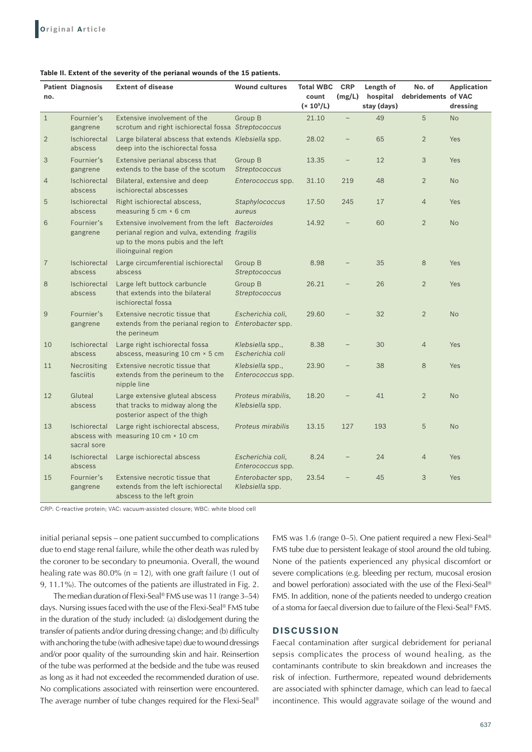|                | <b>Patient Diagnosis</b>    | <b>Extent of disease</b>                                                                                                                                     | <b>Wound cultures</b>                  | <b>Total WBC</b>        | <b>CRP</b> | Length of               | No. of              | <b>Application</b> |
|----------------|-----------------------------|--------------------------------------------------------------------------------------------------------------------------------------------------------------|----------------------------------------|-------------------------|------------|-------------------------|---------------------|--------------------|
| no.            |                             |                                                                                                                                                              |                                        | count<br>$(x 10^{9}/L)$ | (mg/L)     | hospital<br>stay (days) | debridements of VAC | dressing           |
| $\mathbf{1}$   | Fournier's<br>gangrene      | Extensive involvement of the<br>scrotum and right ischiorectal fossa Streptococcus                                                                           | Group B                                | 21.10                   | $\equiv$   | 49                      | 5                   | <b>No</b>          |
| $\overline{2}$ | Ischiorectal<br>abscess     | Large bilateral abscess that extends Klebsiella spp.<br>deep into the ischiorectal fossa                                                                     |                                        | 28.02                   |            | 65                      | $\overline{2}$      | Yes                |
| 3              | Fournier's<br>gangrene      | Extensive perianal abscess that<br>extends to the base of the scotum                                                                                         | Group B<br>Streptococcus               | 13.35                   |            | 12                      | 3                   | Yes                |
| $\overline{4}$ | Ischiorectal<br>abscess     | Bilateral, extensive and deep<br>ischiorectal abscesses                                                                                                      | Enterococcus spp.                      | 31.10                   | 219        | 48                      | $\overline{2}$      | <b>No</b>          |
| 5              | Ischiorectal<br>abscess     | Right ischiorectal abscess,<br>measuring 5 cm × 6 cm                                                                                                         | Staphylococcus<br>aureus               | 17.50                   | 245        | 17                      | $\overline{4}$      | Yes                |
| 6              | Fournier's<br>gangrene      | Extensive involvement from the left Bacteroides<br>perianal region and vulva, extending fragilis<br>up to the mons pubis and the left<br>ilioinguinal region |                                        | 14.92                   |            | 60                      | $\overline{2}$      | <b>No</b>          |
| $\overline{7}$ | Ischiorectal<br>abscess     | Large circumferential ischiorectal<br>abscess                                                                                                                | Group B<br>Streptococcus               | 8.98                    |            | 35                      | 8                   | Yes                |
| 8              | Ischiorectal<br>abscess     | Large left buttock carbuncle<br>that extends into the bilateral<br>ischiorectal fossa                                                                        | Group B<br>Streptococcus               | 26.21                   |            | 26                      | $\overline{2}$      | Yes                |
| $\mathcal{G}$  | Fournier's<br>gangrene      | Extensive necrotic tissue that<br>extends from the perianal region to Enterobacter spp.<br>the perineum                                                      | Escherichia coli,                      | 29.60                   |            | 32                      | $\overline{2}$      | <b>No</b>          |
| 10             | Ischiorectal<br>abscess     | Large right ischiorectal fossa<br>abscess, measuring 10 cm × 5 cm                                                                                            | Klebsiella spp.,<br>Escherichia coli   | 8.38                    |            | 30                      | $\overline{4}$      | Yes                |
| 11             | Necrositing<br>fasciitis    | Extensive necrotic tissue that<br>extends from the perineum to the<br>nipple line                                                                            | Klebsiella spp.,<br>Enterococcus spp.  | 23.90                   |            | 38                      | 8                   | Yes                |
| 12             | Gluteal<br>abscess          | Large extensive gluteal abscess<br>that tracks to midway along the<br>posterior aspect of the thigh                                                          | Proteus mirabilis,<br>Klebsiella spp.  | 18.20                   |            | 41                      | $\overline{2}$      | <b>No</b>          |
| 13             | Ischiorectal<br>sacral sore | Large right ischiorectal abscess,<br>abscess with measuring 10 cm × 10 cm                                                                                    | Proteus mirabilis                      | 13.15                   | 127        | 193                     | 5                   | <b>No</b>          |
| 14             | Ischiorectal<br>abscess     | Large ischiorectal abscess                                                                                                                                   | Escherichia coli,<br>Enterococcus spp. | 8.24                    |            | 24                      | $\overline{4}$      | <b>Yes</b>         |
| 15             | Fournier's<br>gangrene      | Extensive necrotic tissue that<br>extends from the left ischiorectal<br>abscess to the left groin                                                            | Enterobacter spp,<br>Klebsiella spp.   | 23.54                   |            | 45                      | 3                   | Yes                |

CRP: C-reactive protein; VAC: vacuum-assisted closure; WBC: white blood cell

initial perianal sepsis – one patient succumbed to complications due to end stage renal failure, while the other death was ruled by the coroner to be secondary to pneumonia. Overall, the wound healing rate was 80.0% ( $n = 12$ ), with one graft failure (1 out of 9, 11.1%). The outcomes of the patients are illustrated in Fig. 2.

The median duration of Flexi-Seal® FMS use was 11 (range 3–54) days. Nursing issues faced with the use of the Flexi-Seal® FMS tube in the duration of the study included: (a) dislodgement during the transfer of patients and/or during dressing change; and (b) difficulty with anchoring the tube (with adhesive tape) due to wound dressings and/or poor quality of the surrounding skin and hair. Reinsertion of the tube was performed at the bedside and the tube was reused as long as it had not exceeded the recommended duration of use. No complications associated with reinsertion were encountered. The average number of tube changes required for the Flexi-Seal® FMS was 1.6 (range 0–5). One patient required a new Flexi-Seal® FMS tube due to persistent leakage of stool around the old tubing. None of the patients experienced any physical discomfort or severe complications (e.g. bleeding per rectum, mucosal erosion and bowel perforation) associated with the use of the Flexi-Seal® FMS. In addition, none of the patients needed to undergo creation of a stoma for faecal diversion due to failure of the Flexi-Seal® FMS.

## **DISCUSSION**

Faecal contamination after surgical debridement for perianal sepsis complicates the process of wound healing, as the contaminants contribute to skin breakdown and increases the risk of infection. Furthermore, repeated wound debridements are associated with sphincter damage, which can lead to faecal incontinence. This would aggravate soilage of the wound and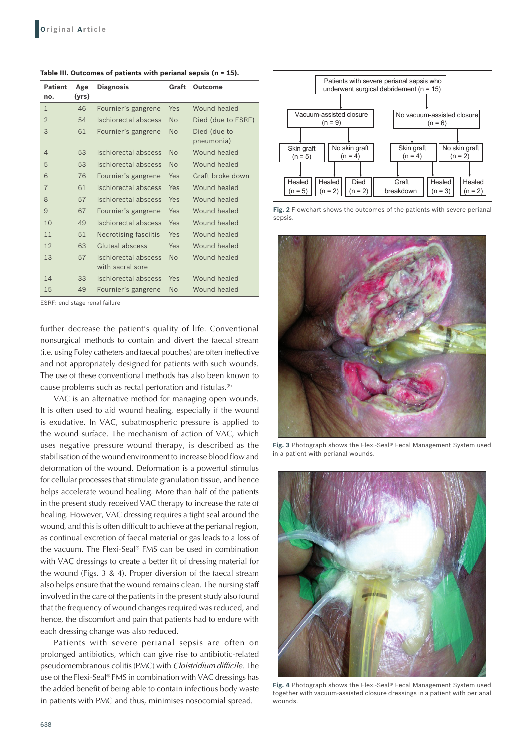**Table III. Outcomes of patients with perianal sepsis (n = 15).**

| <b>Patient</b><br>no. | Age<br>(yrs) | <b>Diagnosis</b>                         | Graft     | <b>Outcome</b>             |
|-----------------------|--------------|------------------------------------------|-----------|----------------------------|
| $\mathbf{1}$          | 46           | Fournier's gangrene                      | Yes       | Wound healed               |
| $\overline{2}$        | 54           | Ischiorectal abscess                     | <b>No</b> | Died (due to ESRF)         |
| 3                     | 61           | Fournier's gangrene                      | <b>No</b> | Died (due to<br>pneumonia) |
| 4                     | 53           | Ischiorectal abscess                     | No        | Wound healed               |
| 5                     | 53           | Ischiorectal abscess                     | No        | Wound healed               |
| 6                     | 76           | Fournier's gangrene                      | Yes       | Graft broke down           |
| $\overline{7}$        | 61           | Ischiorectal abscess                     | Yes       | Wound healed               |
| 8                     | 57           | Ischiorectal abscess                     | Yes       | Wound healed               |
| 9                     | 67           | Fournier's gangrene                      | Yes       | Wound healed               |
| 10                    | 49           | Ischiorectal abscess                     | Yes       | Wound healed               |
| 11                    | 51           | Necrotising fasciitis                    | Yes       | Wound healed               |
| 12                    | 63           | Gluteal abscess                          | Yes       | Wound healed               |
| 13                    | 57           | Ischiorectal abscess<br>with sacral sore | No        | Wound healed               |
| 14                    | 33           | Ischiorectal abscess                     | Yes       | Wound healed               |
| 15                    | 49           | Fournier's gangrene                      | <b>No</b> | Wound healed               |

ESRF: end stage renal failure

further decrease the patient's quality of life. Conventional nonsurgical methods to contain and divert the faecal stream (i.e. using Foley catheters and faecal pouches) are often ineffective and not appropriately designed for patients with such wounds. The use of these conventional methods has also been known to cause problems such as rectal perforation and fistulas.(8)

VAC is an alternative method for managing open wounds. It is often used to aid wound healing, especially if the wound is exudative. In VAC, subatmospheric pressure is applied to the wound surface. The mechanism of action of VAC, which uses negative pressure wound therapy, is described as the stabilisation of the wound environment to increase blood flow and deformation of the wound. Deformation is a powerful stimulus for cellular processes that stimulate granulation tissue, and hence helps accelerate wound healing. More than half of the patients in the present study received VAC therapy to increase the rate of healing. However, VAC dressing requires a tight seal around the wound, and this is often difficult to achieve at the perianal region, as continual excretion of faecal material or gas leads to a loss of the vacuum. The Flexi-Seal® FMS can be used in combination with VAC dressings to create a better fit of dressing material for the wound (Figs. 3 & 4). Proper diversion of the faecal stream also helps ensure that the wound remains clean. The nursing staff involved in the care of the patients in the present study also found that the frequency of wound changes required was reduced, and hence, the discomfort and pain that patients had to endure with each dressing change was also reduced.

Patients with severe perianal sepsis are often on prolonged antibiotics, which can give rise to antibiotic-related pseudomembranous colitis (PMC) with *Cloistridium difficile*. The use of the Flexi-Seal® FMS in combination with VAC dressings has the added benefit of being able to contain infectious body waste in patients with PMC and thus, minimises nosocomial spread.



**Fig. 2** Flowchart shows the outcomes of the patients with severe perianal sepsis.



**Fig. 3** Photograph shows the Flexi-Seal® Fecal Management System used in a patient with perianal wounds.



**Fig. 4** Photograph shows the Flexi-Seal® Fecal Management System used together with vacuum-assisted closure dressings in a patient with perianal wounds.